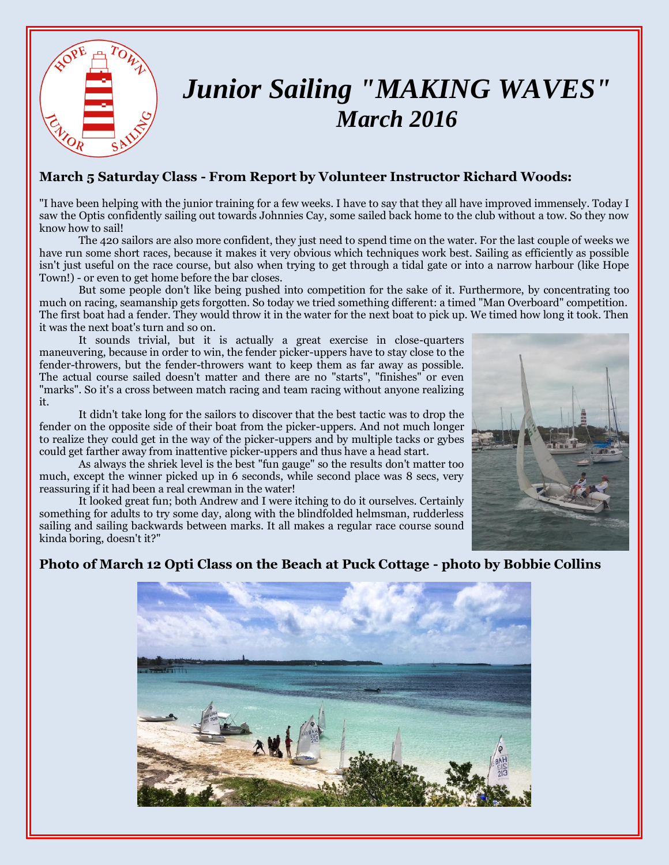

# *Junior Sailing "MAKING WAVES" March 2016*

#### **March 5 Saturday Class - From Report by Volunteer Instructor Richard Woods:**

"I have been helping with the junior training for a few weeks. I have to say that they all have improved immensely. Today I saw the Optis confidently sailing out towards Johnnies Cay, some sailed back home to the club without a tow. So they now know how to sail!

The 420 sailors are also more confident, they just need to spend time on the water. For the last couple of weeks we have run some short races, because it makes it very obvious which techniques work best. Sailing as efficiently as possible isn't just useful on the race course, but also when trying to get through a tidal gate or into a narrow harbour (like Hope Town!) - or even to get home before the bar closes.

But some people don't like being pushed into competition for the sake of it. Furthermore, by concentrating too much on racing, seamanship gets forgotten. So today we tried something different: a timed "Man Overboard" competition. The first boat had a fender. They would throw it in the water for the next boat to pick up. We timed how long it took. Then it was the next boat's turn and so on.

It sounds trivial, but it is actually a great exercise in close-quarters maneuvering, because in order to win, the fender picker-uppers have to stay close to the fender-throwers, but the fender-throwers want to keep them as far away as possible. The actual course sailed doesn't matter and there are no "starts", "finishes" or even "marks". So it's a cross between match racing and team racing without anyone realizing it.

It didn't take long for the sailors to discover that the best tactic was to drop the fender on the opposite side of their boat from the picker-uppers. And not much longer to realize they could get in the way of the picker-uppers and by multiple tacks or gybes could get farther away from inattentive picker-uppers and thus have a head start.

As always the shriek level is the best "fun gauge" so the results don't matter too much, except the winner picked up in 6 seconds, while second place was 8 secs, very reassuring if it had been a real crewman in the water!

It looked great fun; both Andrew and I were itching to do it ourselves. Certainly something for adults to try some day, along with the blindfolded helmsman, rudderless sailing and sailing backwards between marks. It all makes a regular race course sound kinda boring, doesn't it?"



#### **Photo of March 12 Opti Class on the Beach at Puck Cottage - photo by Bobbie Collins**

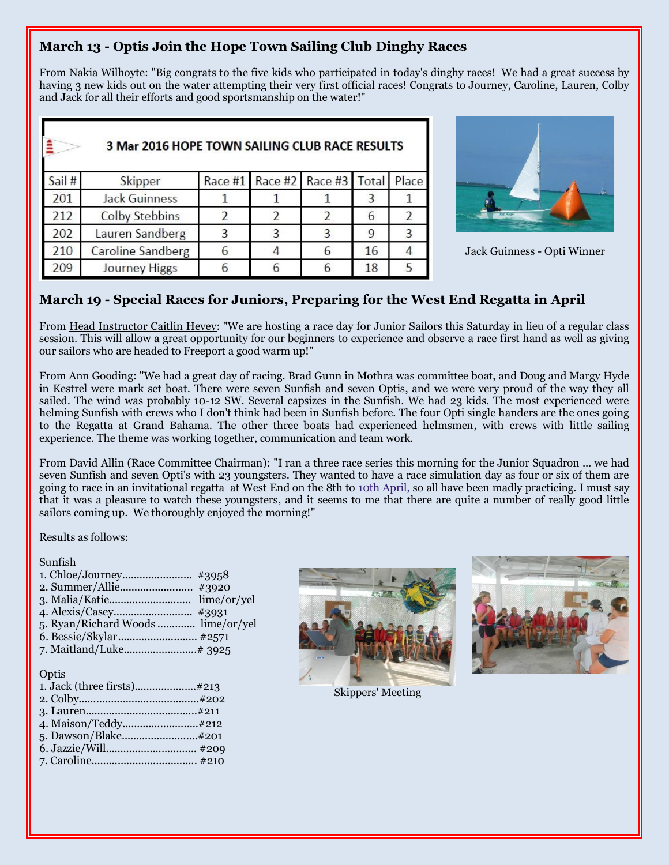### **March 13 - Optis Join the Hope Town Sailing Club Dinghy Races**

From Nakia Wilhoyte: "Big congrats to the five kids who participated in today's dinghy races! We had a great success by having 3 new kids out on the water attempting their very first official races! Congrats to Journey, Caroline, Lauren, Colby and Jack for all their efforts and good sportsmanship on the water!"

|        | 3 Mar 2016 HOPE TOWN SAILING CLUB RACE RESULTS |         |  |                       |    |       |  |
|--------|------------------------------------------------|---------|--|-----------------------|----|-------|--|
| Sail # | Skipper                                        | Race #1 |  | Race #2 Race #3 Total |    | Place |  |
| 201    | <b>Jack Guinness</b>                           |         |  |                       |    |       |  |
| 212    | <b>Colby Stebbins</b>                          |         |  |                       |    |       |  |
| 202    | Lauren Sandberg                                |         |  |                       |    | 3     |  |
| 210    | <b>Caroline Sandberg</b>                       |         |  | 6                     | 16 |       |  |
| 209    | Journey Higgs                                  |         |  |                       | 18 |       |  |



Jack Guinness - Opti Winner

#### **March 19 - Special Races for Juniors, Preparing for the West End Regatta in April**

From Head Instructor Caitlin Hevey: "We are hosting a race day for Junior Sailors this Saturday in lieu of a regular class session. This will allow a great opportunity for our beginners to experience and observe a race first hand as well as giving our sailors who are headed to Freeport a good warm up!"

From Ann Gooding: "We had a great day of racing. Brad Gunn in Mothra was committee boat, and Doug and Margy Hyde in Kestrel were mark set boat. There were seven Sunfish and seven Optis, and we were very proud of the way they all sailed. The wind was probably 10-12 SW. Several capsizes in the Sunfish. We had 23 kids. The most experienced were helming Sunfish with crews who I don't think had been in Sunfish before. The four Opti single handers are the ones going to the Regatta at Grand Bahama. The other three boats had experienced helmsmen, with crews with little sailing experience. The theme was working together, communication and team work.

From David Allin (Race Committee Chairman): "I ran a three race series this morning for the Junior Squadron ... we had seven Sunfish and seven Opti's with 23 youngsters. They wanted to have a race simulation day as four or six of them are going to race in an invitational regatta at West End on the 8th to 10th April, so all have been madly practicing. I must say that it was a pleasure to watch these youngsters, and it seems to me that there are quite a number of really good little sailors coming up. We thoroughly enjoyed the morning!"

Results as follows:

#### Sunfish

1. Chloe/Journey........................ #3958 2. Summer/Allie......................... #3920 3. Malia/Katie............................ lime/or/yel 4. Alexis/Casey........................... #3931 5. Ryan/Richard Woods ............. lime/or/yel 6. Bessie/Skylar........................... #2571 7. Maitland/Luke.........................# 3925 **Optis** 1. Jack (three firsts).....................#213 2. Colby.........................................#202